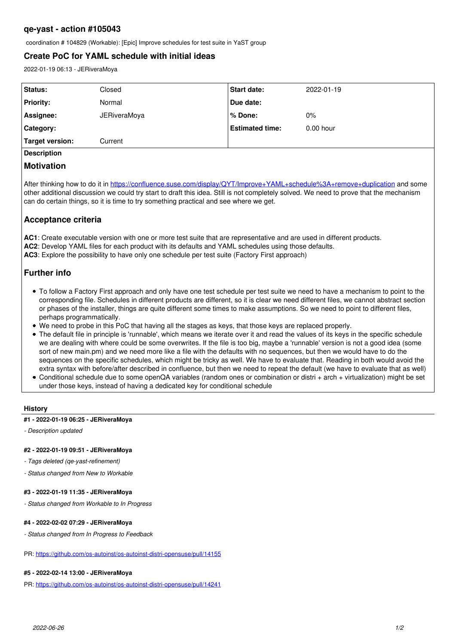# **qe-yast - action #105043**

coordination # 104829 (Workable): [Epic] Improve schedules for test suite in YaST group

# **Create PoC for YAML schedule with initial ideas**

2022-01-19 06:13 - JERiveraMoya

| Status:            | Closed       | <b>Start date:</b>     | 2022-01-19  |
|--------------------|--------------|------------------------|-------------|
| <b>Priority:</b>   | Normal       | Due date:              |             |
| Assignee:          | JERiveraMoya | ∣% Done:               | 0%          |
| Category:          |              | <b>Estimated time:</b> | $0.00$ hour |
| Target version:    | Current      |                        |             |
| <b>Description</b> |              |                        |             |

### **Motivation**

After thinking how to do it in<https://confluence.suse.com/display/QYT/Improve+YAML+schedule%3A+remove+duplication>and some other additional discussion we could try start to draft this idea. Still is not completely solved. We need to prove that the mechanism can do certain things, so it is time to try something practical and see where we get.

## **Acceptance criteria**

**AC1**: Create executable version with one or more test suite that are representative and are used in different products.

**AC2**: Develop YAML files for each product with its defaults and YAML schedules using those defaults.

**AC3**: Explore the possibility to have only one schedule per test suite (Factory First approach)

# **Further info**

- To follow a Factory First approach and only have one test schedule per test suite we need to have a mechanism to point to the corresponding file. Schedules in different products are different, so it is clear we need different files, we cannot abstract section or phases of the installer, things are quite different some times to make assumptions. So we need to point to different files, perhaps programmatically.
- We need to probe in this PoC that having all the stages as keys, that those keys are replaced properly.
- The default file in principle is 'runnable', which means we iterate over it and read the values of its keys in the specific schedule we are dealing with where could be some overwrites. If the file is too big, maybe a 'runnable' version is not a good idea (some sort of new main.pm) and we need more like a file with the defaults with no sequences, but then we would have to do the sequences on the specific schedules, which might be tricky as well. We have to evaluate that. Reading in both would avoid the extra syntax with before/after described in confluence, but then we need to repeat the default (we have to evaluate that as well)
- Conditional schedule due to some openQA variables (random ones or combination or distri + arch + virtualization) might be set under those keys, instead of having a dedicated key for conditional schedule

#### **History**

#### **#1 - 2022-01-19 06:25 - JERiveraMoya**

*- Description updated*

#### **#2 - 2022-01-19 09:51 - JERiveraMoya**

- *Tags deleted (qe-yast-refinement)*
- *Status changed from New to Workable*

### **#3 - 2022-01-19 11:35 - JERiveraMoya**

*- Status changed from Workable to In Progress*

#### **#4 - 2022-02-02 07:29 - JERiveraMoya**

*- Status changed from In Progress to Feedback*

PR: <https://github.com/os-autoinst/os-autoinst-distri-opensuse/pull/14155>

### **#5 - 2022-02-14 13:00 - JERiveraMoya**

PR: <https://github.com/os-autoinst/os-autoinst-distri-opensuse/pull/14241>